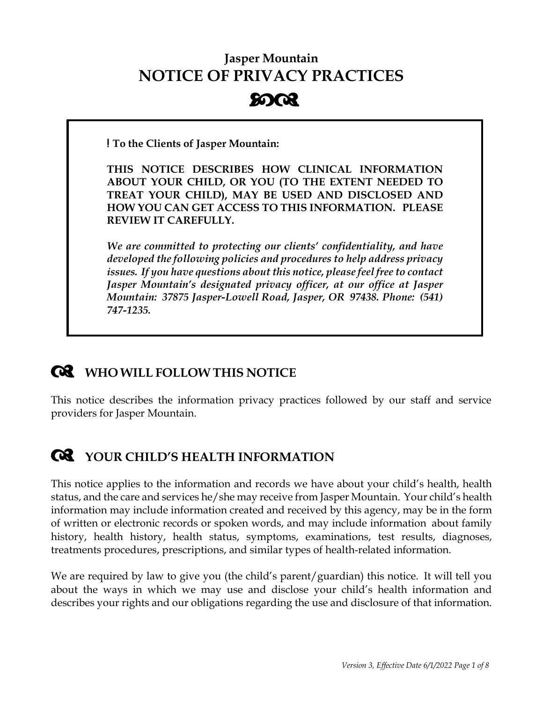# **Jasper Mountain NOTICE OF PRIVACY PRACTICES 8003**

**! To the Clients of Jasper Mountain:**

**THIS NOTICE DESCRIBES HOW CLINICAL INFORMATION ABOUT YOUR CHILD, OR YOU (TO THE EXTENT NEEDED TO TREAT YOUR CHILD), MAY BE USED AND DISCLOSED AND HOW YOU CAN GET ACCESS TO THIS INFORMATION. PLEASE REVIEW IT CAREFULLY.**

*We are committed to protecting our clients' confidentiality, and have developed the following policies and procedures to help address privacy issues. If you have questions about this notice, please feel free to contact Jasper Mountain's designated privacy officer, at our office at Jasper Mountain: 37875 Jasper-Lowell Road, Jasper, OR 97438. Phone: (541) 747-1235.*

# **WHO WILL FOLLOW THIS NOTICE**

This notice describes the information privacy practices followed by our staff and service providers for Jasper Mountain.

# **YOUR CHILD'S HEALTH INFORMATION**

This notice applies to the information and records we have about your child's health, health status, and the care and services he/she may receive from Jasper Mountain. Your child's health information may include information created and received by this agency, may be in the form of written or electronic records or spoken words, and may include information about family history, health history, health status, symptoms, examinations, test results, diagnoses, treatments procedures, prescriptions, and similar types of health-related information.

We are required by law to give you (the child's parent/guardian) this notice. It will tell you about the ways in which we may use and disclose your child's health information and describes your rights and our obligations regarding the use and disclosure of that information.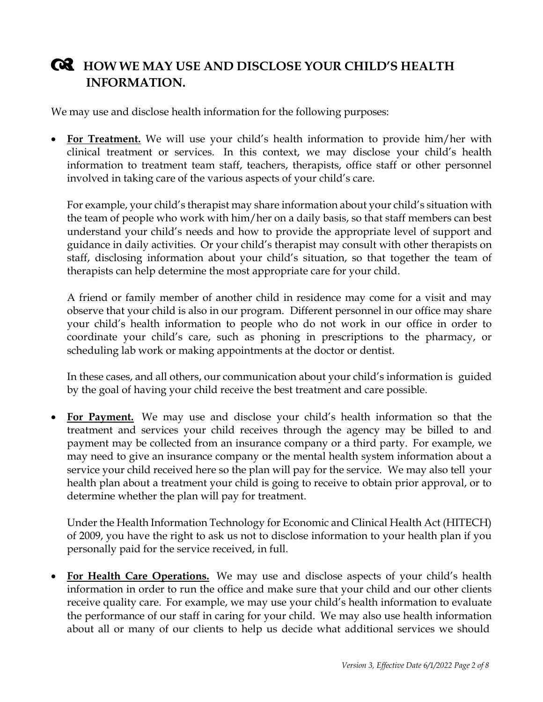#### **HOW WE MAY USE AND DISCLOSE YOUR CHILD'S HEALTH INFORMATION.**

We may use and disclose health information for the following purposes:

• **For Treatment.** We will use your child's health information to provide him/her with clinical treatment or services. In this context, we may disclose your child's health information to treatment team staff, teachers, therapists, office staff or other personnel involved in taking care of the various aspects of your child's care.

For example, your child's therapist may share information about your child's situation with the team of people who work with him/her on a daily basis, so that staff members can best understand your child's needs and how to provide the appropriate level of support and guidance in daily activities. Or your child's therapist may consult with other therapists on staff, disclosing information about your child's situation, so that together the team of therapists can help determine the most appropriate care for your child.

A friend or family member of another child in residence may come for a visit and may observe that your child is also in our program. Different personnel in our office may share your child's health information to people who do not work in our office in order to coordinate your child's care, such as phoning in prescriptions to the pharmacy, or scheduling lab work or making appointments at the doctor or dentist.

In these cases, and all others, our communication about your child's information is guided by the goal of having your child receive the best treatment and care possible.

• **For Payment.** We may use and disclose your child's health information so that the treatment and services your child receives through the agency may be billed to and payment may be collected from an insurance company or a third party. For example, we may need to give an insurance company or the mental health system information about a service your child received here so the plan will pay for the service. We may also tell your health plan about a treatment your child is going to receive to obtain prior approval, or to determine whether the plan will pay for treatment.

Under the Health Information Technology for Economic and Clinical Health Act (HITECH) of 2009, you have the right to ask us not to disclose information to your health plan if you personally paid for the service received, in full.

• **For Health Care Operations.** We may use and disclose aspects of your child's health information in order to run the office and make sure that your child and our other clients receive quality care. For example, we may use your child's health information to evaluate the performance of our staff in caring for your child. We may also use health information about all or many of our clients to help us decide what additional services we should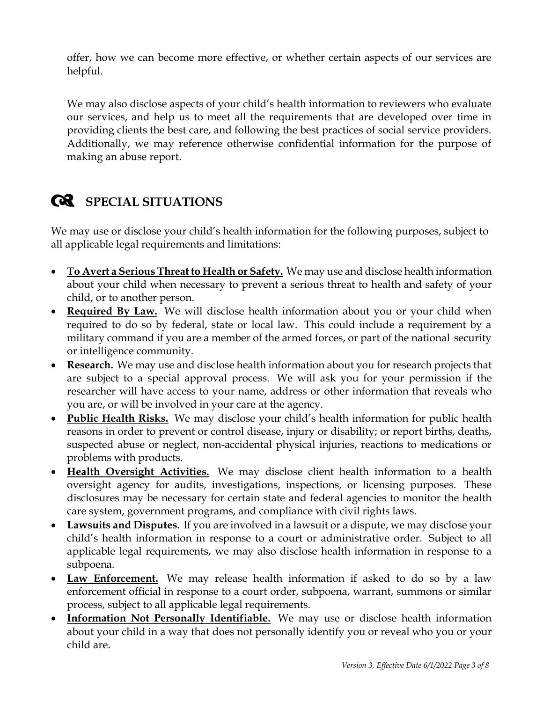offer, how we can become more effective, or whether certain aspects of our services are helpful.

We may also disclose aspects of your child's health information to reviewers who evaluate our services, and help us to meet all the requirements that are developed over time in providing clients the best care, and following the best practices of social service providers. Additionally, we may reference otherwise confidential information for the purpose of making an abuse report.

# **SPECIAL SITUATIONS**

We may use or disclose your child's health information for the following purposes, subject to all applicable legal requirements and limitations:

- **To Avert a Serious Threat to Health or Safety.** We may use and disclose health information about your child when necessary to prevent a serious threat to health and safety of your child, or to another person.
- **Required By Law.** We will disclose health information about you or your child when required to do so by federal, state or local law. This could include a requirement by a military command if you are a member of the armed forces, or part of the national security or intelligence community.
- **Research.** We may use and disclose health information about you for research projects that are subject to a special approval process. We will ask you for your permission if the researcher will have access to your name, address or other information that reveals who you are, or will be involved in your care at the agency.
- **Public Health Risks.** We may disclose your child's health information for public health reasons in order to prevent or control disease, injury or disability; or report births, deaths, suspected abuse or neglect, non-accidental physical injuries, reactions to medications or problems with products.
- **Health Oversight Activities.** We may disclose client health information to a health oversight agency for audits, investigations, inspections, or licensing purposes. These disclosures may be necessary for certain state and federal agencies to monitor the health care system, government programs, and compliance with civil rights laws.
- **Lawsuits and Disputes.** If you are involved in a lawsuit or a dispute, we may disclose your child's health information in response to a court or administrative order. Subject to all applicable legal requirements, we may also disclose health information in response to a subpoena.
- **Law Enforcement.** We may release health information if asked to do so by a law enforcement official in response to a court order, subpoena, warrant, summons or similar process, subject to all applicable legal requirements.
- **Information Not Personally Identifiable.** We may use or disclose health information about your child in a way that does not personally identify you or reveal who you or your child are.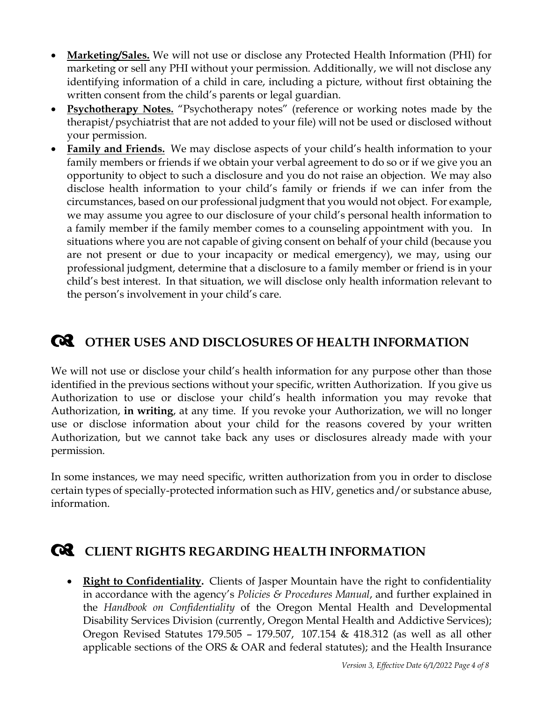- **Marketing/Sales.** We will not use or disclose any Protected Health Information (PHI) for marketing or sell any PHI without your permission. Additionally, we will not disclose any identifying information of a child in care, including a picture, without first obtaining the written consent from the child's parents or legal guardian.
- **Psychotherapy Notes.** "Psychotherapy notes" (reference or working notes made by the therapist/psychiatrist that are not added to your file) will not be used or disclosed without your permission.
- **Family and Friends.** We may disclose aspects of your child's health information to your family members or friends if we obtain your verbal agreement to do so or if we give you an opportunity to object to such a disclosure and you do not raise an objection. We may also disclose health information to your child's family or friends if we can infer from the circumstances, based on our professional judgment that you would not object. For example, we may assume you agree to our disclosure of your child's personal health information to a family member if the family member comes to a counseling appointment with you. In situations where you are not capable of giving consent on behalf of your child (because you are not present or due to your incapacity or medical emergency), we may, using our professional judgment, determine that a disclosure to a family member or friend is in your child's best interest. In that situation, we will disclose only health information relevant to the person's involvement in your child's care.

# **OTHER USES AND DISCLOSURES OF HEALTH INFORMATION**

We will not use or disclose your child's health information for any purpose other than those identified in the previous sections without your specific, written Authorization. If you give us Authorization to use or disclose your child's health information you may revoke that Authorization, **in writing**, at any time. If you revoke your Authorization, we will no longer use or disclose information about your child for the reasons covered by your written Authorization, but we cannot take back any uses or disclosures already made with your permission.

In some instances, we may need specific, written authorization from you in order to disclose certain types of specially-protected information such as HIV, genetics and/or substance abuse, information.

#### **CLIENT RIGHTS REGARDING HEALTH INFORMATION**

• **Right to Confidentiality.** Clients of Jasper Mountain have the right to confidentiality in accordance with the agency's *Policies & Procedures Manual*, and further explained in the *Handbook on Confidentiality* of the Oregon Mental Health and Developmental Disability Services Division (currently, Oregon Mental Health and Addictive Services); Oregon Revised Statutes 179.505 – 179.507, 107.154 & 418.312 (as well as all other applicable sections of the ORS & OAR and federal statutes); and the Health Insurance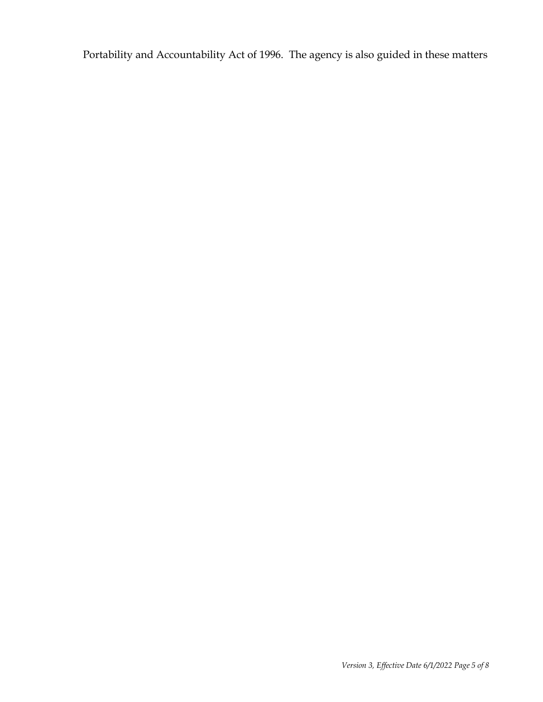Portability and Accountability Act of 1996. The agency is also guided in these matters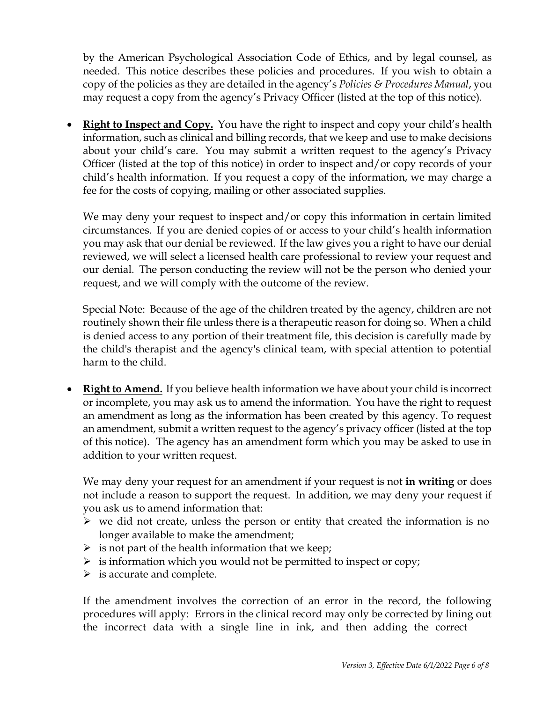by the American Psychological Association Code of Ethics, and by legal counsel, as needed. This notice describes these policies and procedures. If you wish to obtain a copy of the policies as they are detailed in the agency's *Policies & Procedures Manual*, you may request a copy from the agency's Privacy Officer (listed at the top of this notice).

• **Right to Inspect and Copy.** You have the right to inspect and copy your child's health information, such as clinical and billing records, that we keep and use to make decisions about your child's care. You may submit a written request to the agency's Privacy Officer (listed at the top of this notice) in order to inspect and/or copy records of your child's health information. If you request a copy of the information, we may charge a fee for the costs of copying, mailing or other associated supplies.

We may deny your request to inspect and/or copy this information in certain limited circumstances. If you are denied copies of or access to your child's health information you may ask that our denial be reviewed. If the law gives you a right to have our denial reviewed, we will select a licensed health care professional to review your request and our denial. The person conducting the review will not be the person who denied your request, and we will comply with the outcome of the review.

Special Note: Because of the age of the children treated by the agency, children are not routinely shown their file unless there is a therapeutic reason for doing so. When a child is denied access to any portion of their treatment file, this decision is carefully made by the child's therapist and the agency's clinical team, with special attention to potential harm to the child.

• **Right to Amend.** If you believe health information we have about your child is incorrect or incomplete, you may ask us to amend the information. You have the right to request an amendment as long as the information has been created by this agency. To request an amendment, submit a written request to the agency's privacy officer (listed at the top of this notice). The agency has an amendment form which you may be asked to use in addition to your written request.

We may deny your request for an amendment if your request is not **in writing** or does not include a reason to support the request. In addition, we may deny your request if you ask us to amend information that:

- $\triangleright$  we did not create, unless the person or entity that created the information is no longer available to make the amendment;
- $\triangleright$  is not part of the health information that we keep;
- $\triangleright$  is information which you would not be permitted to inspect or copy;
- $\triangleright$  is accurate and complete.

If the amendment involves the correction of an error in the record, the following procedures will apply: Errors in the clinical record may only be corrected by lining out the incorrect data with a single line in ink, and then adding the correct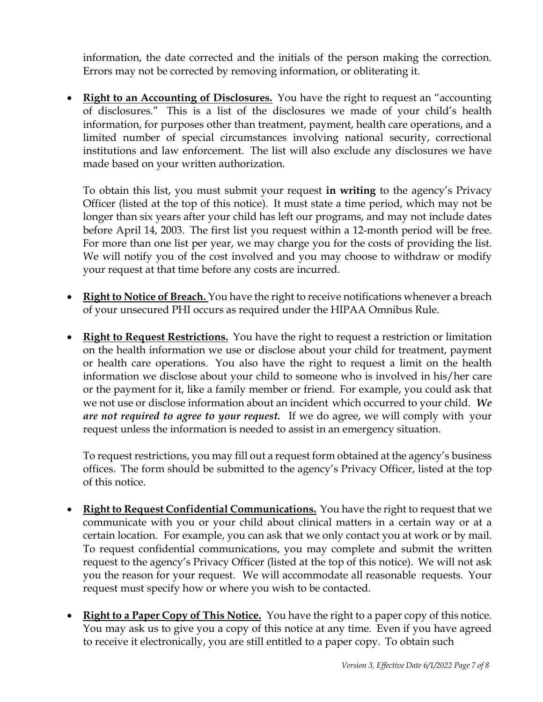information, the date corrected and the initials of the person making the correction. Errors may not be corrected by removing information, or obliterating it.

• **Right to an Accounting of Disclosures.** You have the right to request an "accounting of disclosures." This is a list of the disclosures we made of your child's health information, for purposes other than treatment, payment, health care operations, and a limited number of special circumstances involving national security, correctional institutions and law enforcement. The list will also exclude any disclosures we have made based on your written authorization.

To obtain this list, you must submit your request **in writing** to the agency's Privacy Officer (listed at the top of this notice). It must state a time period, which may not be longer than six years after your child has left our programs, and may not include dates before April 14, 2003. The first list you request within a 12-month period will be free. For more than one list per year, we may charge you for the costs of providing the list. We will notify you of the cost involved and you may choose to withdraw or modify your request at that time before any costs are incurred.

- **Right to Notice of Breach.** You have the right to receive notifications whenever a breach of your unsecured PHI occurs as required under the HIPAA Omnibus Rule.
- **Right to Request Restrictions.** You have the right to request a restriction or limitation on the health information we use or disclose about your child for treatment, payment or health care operations. You also have the right to request a limit on the health information we disclose about your child to someone who is involved in his/her care or the payment for it, like a family member or friend. For example, you could ask that we not use or disclose information about an incident which occurred to your child. *We are not required to agree to your request.* If we do agree, we will comply with your request unless the information is needed to assist in an emergency situation.

To request restrictions, you may fill out a request form obtained at the agency's business offices. The form should be submitted to the agency's Privacy Officer, listed at the top of this notice.

- **Right to Request Confidential Communications.** You have the right to request that we communicate with you or your child about clinical matters in a certain way or at a certain location. For example, you can ask that we only contact you at work or by mail. To request confidential communications, you may complete and submit the written request to the agency's Privacy Officer (listed at the top of this notice). We will not ask you the reason for your request. We will accommodate all reasonable requests. Your request must specify how or where you wish to be contacted.
- **Right to a Paper Copy of This Notice.** You have the right to a paper copy of this notice. You may ask us to give you a copy of this notice at any time. Even if you have agreed to receive it electronically, you are still entitled to a paper copy. To obtain such